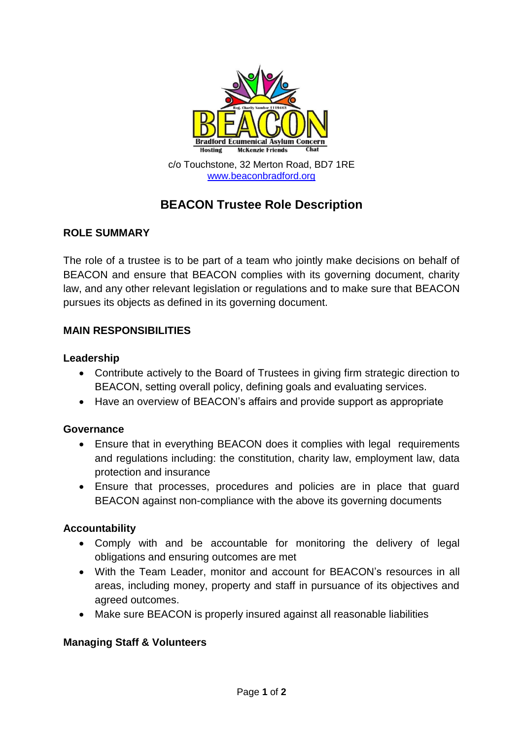

# **BEACON Trustee Role Description**

## **ROLE SUMMARY**

The role of a trustee is to be part of a team who jointly make decisions on behalf of BEACON and ensure that BEACON complies with its governing document, charity law, and any other relevant legislation or regulations and to make sure that BEACON pursues its objects as defined in its governing document.

## **MAIN RESPONSIBILITIES**

#### **Leadership**

- Contribute actively to the Board of Trustees in giving firm strategic direction to BEACON, setting overall policy, defining goals and evaluating services.
- Have an overview of BEACON's affairs and provide support as appropriate

#### **Governance**

- Ensure that in everything BEACON does it complies with legal requirements and regulations including: the constitution, charity law, employment law, data protection and insurance
- Ensure that processes, procedures and policies are in place that guard BEACON against non-compliance with the above its governing documents

#### **Accountability**

- Comply with and be accountable for monitoring the delivery of legal obligations and ensuring outcomes are met
- With the Team Leader, monitor and account for BEACON's resources in all areas, including money, property and staff in pursuance of its objectives and agreed outcomes.
- Make sure BEACON is properly insured against all reasonable liabilities

#### **Managing Staff & Volunteers**